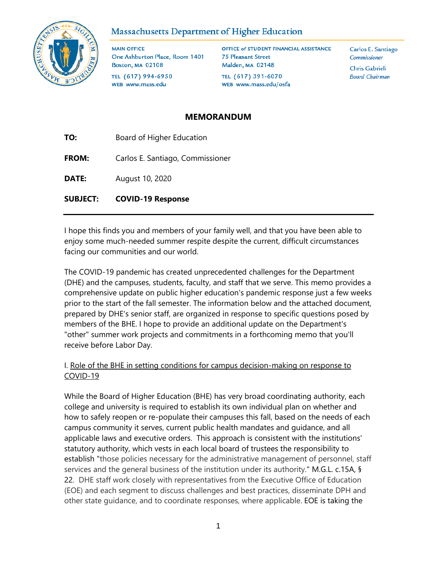

# Massachusetts Department of Higher Education

**MAIN OFFICE** One Ashburton Place, Room 1401 **Boston, MA 02108** TEL (617) 994-6950

OFFICE of STUDENT FINANCIAL ASSISTANCE **75 Pleasant Street** Malden, MA 02148 TEL (617) 391-6070 WEB www.mass.edu/osfa

Carlos E. Santiago **Commissioner** Chris Gabrieli **Board Chairman** 

# **MEMORANDUM**

**TO:** Board of Higher Education **FROM:** Carlos E. Santiago, Commissioner **DATE:** August 10, 2020

WEB www.mass.edu

**SUBJECT: COVID-19 Response**

I hope this finds you and members of your family well, and that you have been able to enjoy some much-needed summer respite despite the current, difficult circumstances facing our communities and our world.

The COVID-19 pandemic has created unprecedented challenges for the Department (DHE) and the campuses, students, faculty, and staff that we serve. This memo provides a comprehensive update on public higher education's pandemic response just a few weeks prior to the start of the fall semester. The information below and the attached document, prepared by DHE's senior staff, are organized in response to specific questions posed by members of the BHE. I hope to provide an additional update on the Department's "other" summer work projects and commitments in a forthcoming memo that you'll receive before Labor Day.

## I. Role of the BHE in setting conditions for campus decision-making on response to COVID-19

While the Board of Higher Education (BHE) has very broad coordinating authority, each college and university is required to establish its own individual plan on whether and how to safely reopen or re-populate their campuses this fall, based on the needs of each campus community it serves, current public health mandates and guidance, and all applicable laws and executive orders. This approach is consistent with the institutions' statutory authority, which vests in each local board of trustees the responsibility to establish "those policies necessary for the administrative management of personnel, staff services and the general business of the institution under its authority." M.G.L. c.15A, § 22. DHE staff work closely with representatives from the Executive Office of Education (EOE) and each segment to discuss challenges and best practices, disseminate DPH and other state guidance, and to coordinate responses, where applicable. EOE is taking the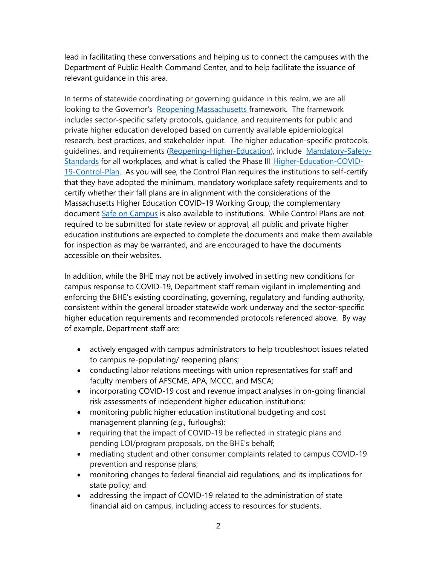lead in facilitating these conversations and helping us to connect the campuses with the Department of Public Health Command Center, and to help facilitate the issuance of relevant guidance in this area.

In terms of statewide coordinating or governing guidance in this realm, we are all looking to the Governor's [Reopening Massachusetts f](https://www.mass.gov/info-details/reopening-massachusetts)ramework. The framework includes sector-specific safety protocols, guidance, and requirements for public and private higher education developed based on currently available epidemiological research, best practices, and stakeholder input. The higher education-specific protocols, guidelines, and requirements [\(Reopening-Higher-Education\)](https://www.mass.gov/info-details/reopening-higher-education), include [Mandatory-Safety-](https://www.mass.gov/info-details/reopening-mandatory-safety-standards-for-workplaces)[Standards](https://www.mass.gov/info-details/reopening-mandatory-safety-standards-for-workplaces) for all workplaces, and what is called the Phase III [Higher-Education-COVID-](https://www.mass.gov/doc/higher-education-covid-19-control-plan/download)[19-Control-Plan.](https://www.mass.gov/doc/higher-education-covid-19-control-plan/download) As you will see, the Control Plan requires the institutions to self-certify that they have adopted the minimum, mandatory workplace safety requirements and to certify whether their fall plans are in alignment with the considerations of the Massachusetts Higher Education COVID-19 Working Group; the complementary document [Safe on Campus](http://aicum.org/wp-content/uploads/2020/07/Updated-Safe-on-Campus-Document-July-29-2020.pdf) is also available to institutions. While Control Plans are not required to be submitted for state review or approval, all public and private higher education institutions are expected to complete the documents and make them available for inspection as may be warranted, and are encouraged to have the documents accessible on their websites.

In addition, while the BHE may not be actively involved in setting new conditions for campus response to COVID-19, Department staff remain vigilant in implementing and enforcing the BHE's existing coordinating, governing, regulatory and funding authority, consistent within the general broader statewide work underway and the sector-specific higher education requirements and recommended protocols referenced above. By way of example, Department staff are:

- actively engaged with campus administrators to help troubleshoot issues related to campus re-populating/ reopening plans;
- conducting labor relations meetings with union representatives for staff and faculty members of AFSCME, APA, MCCC, and MSCA;
- incorporating COVID-19 cost and revenue impact analyses in on-going financial risk assessments of independent higher education institutions;
- monitoring public higher education institutional budgeting and cost management planning (*e.g.,* furloughs);
- requiring that the impact of COVID-19 be reflected in strategic plans and pending LOI/program proposals, on the BHE's behalf;
- mediating student and other consumer complaints related to campus COVID-19 prevention and response plans;
- monitoring changes to federal financial aid regulations, and its implications for state policy; and
- addressing the impact of COVID-19 related to the administration of state financial aid on campus, including access to resources for students.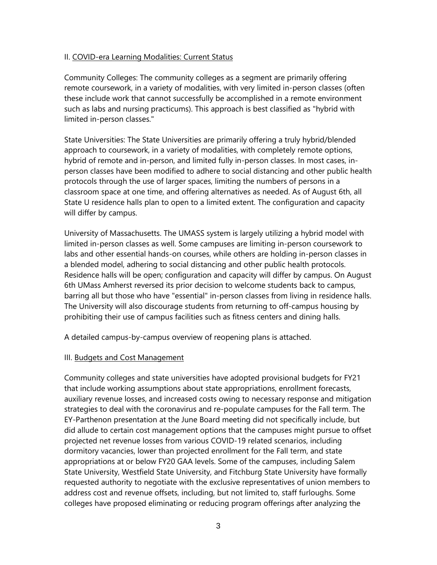#### II. COVID-era Learning Modalities: Current Status

Community Colleges: The community colleges as a segment are primarily offering remote coursework, in a variety of modalities, with very limited in-person classes (often these include work that cannot successfully be accomplished in a remote environment such as labs and nursing practicums). This approach is best classified as "hybrid with limited in-person classes."

State Universities: The State Universities are primarily offering a truly hybrid/blended approach to coursework, in a variety of modalities, with completely remote options, hybrid of remote and in-person, and limited fully in-person classes. In most cases, inperson classes have been modified to adhere to social distancing and other public health protocols through the use of larger spaces, limiting the numbers of persons in a classroom space at one time, and offering alternatives as needed. As of August 6th, all State U residence halls plan to open to a limited extent. The configuration and capacity will differ by campus.

University of Massachusetts. The UMASS system is largely utilizing a hybrid model with limited in-person classes as well. Some campuses are limiting in-person coursework to labs and other essential hands-on courses, while others are holding in-person classes in a blended model, adhering to social distancing and other public health protocols. Residence halls will be open; configuration and capacity will differ by campus. On August 6th UMass Amherst reversed its prior decision to welcome students back to campus, barring all but those who have "essential" in-person classes from living in residence halls. The University will also discourage students from returning to off-campus housing by prohibiting their use of campus facilities such as fitness centers and dining halls.

A detailed campus-by-campus overview of reopening plans is attached.

## III. Budgets and Cost Management

Community colleges and state universities have adopted provisional budgets for FY21 that include working assumptions about state appropriations, enrollment forecasts, auxiliary revenue losses, and increased costs owing to necessary response and mitigation strategies to deal with the coronavirus and re-populate campuses for the Fall term. The EY-Parthenon presentation at the June Board meeting did not specifically include, but did allude to certain cost management options that the campuses might pursue to offset projected net revenue losses from various COVID-19 related scenarios, including dormitory vacancies, lower than projected enrollment for the Fall term, and state appropriations at or below FY20 GAA levels. Some of the campuses, including Salem State University, Westfield State University, and Fitchburg State University have formally requested authority to negotiate with the exclusive representatives of union members to address cost and revenue offsets, including, but not limited to, staff furloughs. Some colleges have proposed eliminating or reducing program offerings after analyzing the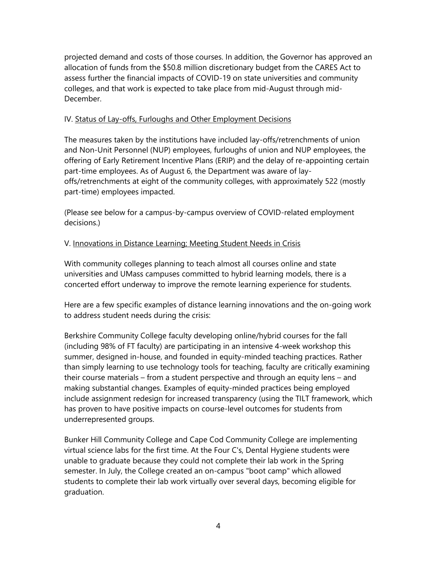projected demand and costs of those courses. In addition, the Governor has approved an allocation of funds from the \$50.8 million discretionary budget from the CARES Act to assess further the financial impacts of COVID-19 on state universities and community colleges, and that work is expected to take place from mid-August through mid-December.

#### IV. Status of Lay-offs, Furloughs and Other Employment Decisions

The measures taken by the institutions have included lay-offs/retrenchments of union and Non-Unit Personnel (NUP) employees, furloughs of union and NUP employees, the offering of Early Retirement Incentive Plans (ERIP) and the delay of re-appointing certain part-time employees. As of August 6, the Department was aware of layoffs/retrenchments at eight of the community colleges, with approximately 522 (mostly part-time) employees impacted.

(Please see below for a campus-by-campus overview of COVID-related employment decisions.)

## V. Innovations in Distance Learning; Meeting Student Needs in Crisis

With community colleges planning to teach almost all courses online and state universities and UMass campuses committed to hybrid learning models, there is a concerted effort underway to improve the remote learning experience for students.

Here are a few specific examples of distance learning innovations and the on-going work to address student needs during the crisis:

Berkshire Community College faculty developing online/hybrid courses for the fall (including 98% of FT faculty) are participating in an intensive 4-week workshop this summer, designed in-house, and founded in equity-minded teaching practices. Rather than simply learning to use technology tools for teaching, faculty are critically examining their course materials – from a student perspective and through an equity lens – and making substantial changes. Examples of equity-minded practices being employed include assignment redesign for increased transparency (using the TILT framework, which has proven to have positive impacts on course-level outcomes for students from underrepresented groups.

Bunker Hill Community College and Cape Cod Community College are implementing virtual science labs for the first time. At the Four C's, Dental Hygiene students were unable to graduate because they could not complete their lab work in the Spring semester. In July, the College created an on-campus "boot camp" which allowed students to complete their lab work virtually over several days, becoming eligible for graduation.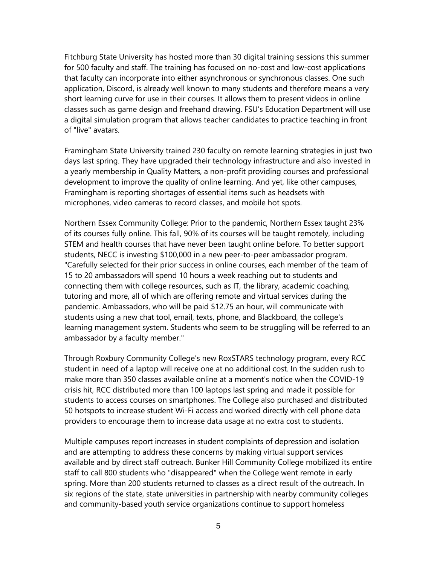Fitchburg State University has hosted more than 30 digital training sessions this summer for 500 faculty and staff. The training has focused on no-cost and low-cost applications that faculty can incorporate into either asynchronous or synchronous classes. One such application, Discord, is already well known to many students and therefore means a very short learning curve for use in their courses. It allows them to present videos in online classes such as game design and freehand drawing. FSU's Education Department will use a digital simulation program that allows teacher candidates to practice teaching in front of "live" avatars.

Framingham State University trained 230 faculty on remote learning strategies in just two days last spring. They have upgraded their technology infrastructure and also invested in a yearly membership in Quality Matters, a non-profit providing courses and professional development to improve the quality of online learning. And yet, like other campuses, Framingham is reporting shortages of essential items such as headsets with microphones, video cameras to record classes, and mobile hot spots.

Northern Essex Community College: Prior to the pandemic, Northern Essex taught 23% of its courses fully online. This fall, 90% of its courses will be taught remotely, including STEM and health courses that have never been taught online before. To better support students, NECC is investing \$100,000 in a new peer-to-peer ambassador program. "Carefully selected for their prior success in online courses, each member of the team of 15 to 20 ambassadors will spend 10 hours a week reaching out to students and connecting them with college resources, such as IT, the library, academic coaching, tutoring and more, all of which are offering remote and virtual services during the pandemic. Ambassadors, who will be paid \$12.75 an hour, will communicate with students using a new chat tool, email, texts, phone, and Blackboard, the college's learning management system. Students who seem to be struggling will be referred to an ambassador by a faculty member."

Through Roxbury Community College's new RoxSTARS technology program, every RCC student in need of a laptop will receive one at no additional cost. In the sudden rush to make more than 350 classes available online at a moment's notice when the COVID-19 crisis hit, RCC distributed more than 100 laptops last spring and made it possible for students to access courses on smartphones. The College also purchased and distributed 50 hotspots to increase student Wi-Fi access and worked directly with cell phone data providers to encourage them to increase data usage at no extra cost to students.

Multiple campuses report increases in student complaints of depression and isolation and are attempting to address these concerns by making virtual support services available and by direct staff outreach. Bunker Hill Community College mobilized its entire staff to call 800 students who "disappeared" when the College went remote in early spring. More than 200 students returned to classes as a direct result of the outreach. In six regions of the state, state universities in partnership with nearby community colleges and community-based youth service organizations continue to support homeless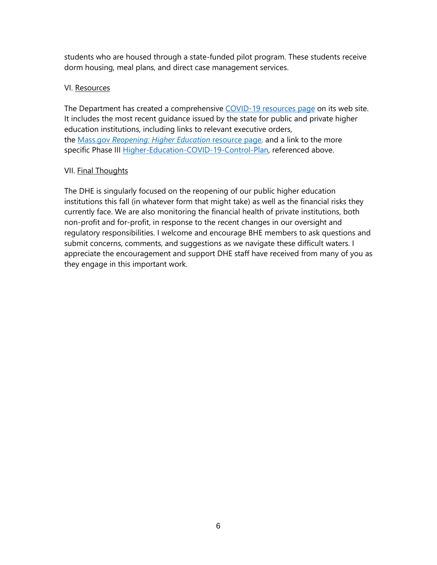students who are housed through a state-funded pilot program. These students receive dorm housing, meal plans, and direct case management services.

## VI. Resources

The Department has created a comprehensive [COVID-19](http://www.mass.edu/covid-19/home.asp) resources page on its web site. It includes the most recent guidance issued by the state for public and private higher education institutions, including links to relevant executive orders, the Mass.gov *[Reopening:](https://www.mass.gov/info-details/reopening-higher-education) Higher Education* resource page, and a link to the more specific Phase III [Higher-Education-COVID-19-Control-Plan,](https://www.mass.gov/doc/higher-education-covid-19-control-plan/download) referenced above.

## VII. Final Thoughts

The DHE is singularly focused on the reopening of our public higher education institutions this fall (in whatever form that might take) as well as the financial risks they currently face. We are also monitoring the financial health of private institutions, both non-profit and for-profit, in response to the recent changes in our oversight and regulatory responsibilities. I welcome and encourage BHE members to ask questions and submit concerns, comments, and suggestions as we navigate these difficult waters. I appreciate the encouragement and support DHE staff have received from many of you as they engage in this important work.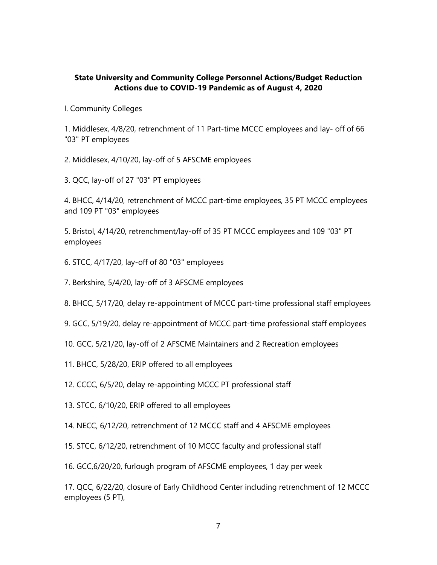## **State University and Community College Personnel Actions/Budget Reduction Actions due to COVID-19 Pandemic as of August 4, 2020**

I. Community Colleges

1. Middlesex, 4/8/20, retrenchment of 11 Part-time MCCC employees and lay- off of 66 "03" PT employees

- 2. Middlesex, 4/10/20, lay-off of 5 AFSCME employees
- 3. QCC, lay-off of 27 "03" PT employees

4. BHCC, 4/14/20, retrenchment of MCCC part-time employees, 35 PT MCCC employees and 109 PT "03" employees

5. Bristol, 4/14/20, retrenchment/lay-off of 35 PT MCCC employees and 109 "03" PT employees

- 6. STCC, 4/17/20, lay-off of 80 "03" employees
- 7. Berkshire, 5/4/20, lay-off of 3 AFSCME employees
- 8. BHCC, 5/17/20, delay re-appointment of MCCC part-time professional staff employees
- 9. GCC, 5/19/20, delay re-appointment of MCCC part-time professional staff employees
- 10. GCC, 5/21/20, lay-off of 2 AFSCME Maintainers and 2 Recreation employees
- 11. BHCC, 5/28/20, ERIP offered to all employees
- 12. CCCC, 6/5/20, delay re-appointing MCCC PT professional staff
- 13. STCC, 6/10/20, ERIP offered to all employees
- 14. NECC, 6/12/20, retrenchment of 12 MCCC staff and 4 AFSCME employees
- 15. STCC, 6/12/20, retrenchment of 10 MCCC faculty and professional staff
- 16. GCC,6/20/20, furlough program of AFSCME employees, 1 day per week

17. QCC, 6/22/20, closure of Early Childhood Center including retrenchment of 12 MCCC employees (5 PT),